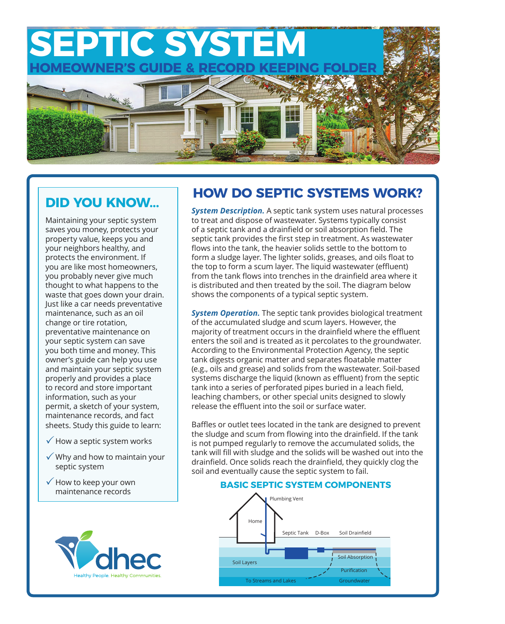

## **DID YOU KNOW...**

Maintaining your septic system saves you money, protects your property value, keeps you and your neighbors healthy, and protects the environment. If you are like most homeowners, you probably never give much thought to what happens to the waste that goes down your drain. Just like a car needs preventative maintenance, such as an oil change or tire rotation, preventative maintenance on your septic system can save you both time and money. This owner's guide can help you use and maintain your septic system properly and provides a place to record and store important information, such as your permit, a sketch of your system, maintenance records, and fact sheets. Study this guide to learn:

- $\checkmark$  How a septic system works
- $\checkmark$  Why and how to maintain your septic system
- $\checkmark$  How to keep your own maintenance records



# **HOW DO SEPTIC SYSTEMS WORK?**

*System Description.* A septic tank system uses natural processes to treat and dispose of wastewater. Systems typically consist of a septic tank and a drainfield or soil absorption field. The septic tank provides the first step in treatment. As wastewater flows into the tank, the heavier solids settle to the bottom to form a sludge layer. The lighter solids, greases, and oils float to the top to form a scum layer. The liquid wastewater (effluent) from the tank flows into trenches in the drainfield area where it is distributed and then treated by the soil. The diagram below shows the components of a typical septic system.

*System Operation.* The septic tank provides biological treatment of the accumulated sludge and scum layers. However, the majority of treatment occurs in the drainfield where the effluent enters the soil and is treated as it percolates to the groundwater. According to the Environmental Protection Agency, the septic tank digests organic matter and separates floatable matter (e.g., oils and grease) and solids from the wastewater. Soil-based systems discharge the liquid (known as effluent) from the septic tank into a series of perforated pipes buried in a leach field, leaching chambers, or other special units designed to slowly release the effluent into the soil or surface water.

Baffles or outlet tees located in the tank are designed to prevent the sludge and scum from flowing into the drainfield. If the tank is not pumped regularly to remove the accumulated solids, the tank will fill with sludge and the solids will be washed out into the drainfield. Once solids reach the drainfield, they quickly clog the soil and eventually cause the septic system to fail.

#### **BASIC SEPTIC SYSTEM COMPONENTS**

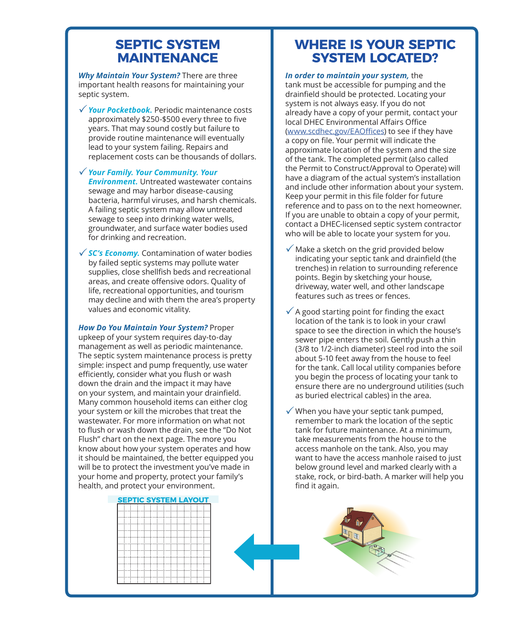## **SEPTIC SYSTEM MAINTENANCE**

*Why Maintain Your System?* There are three important health reasons for maintaining your septic system.

- **√ Your Pocketbook.** Periodic maintenance costs approximately \$250-\$500 every three to five years. That may sound costly but failure to provide routine maintenance will eventually lead to your system failing. Repairs and replacement costs can be thousands of dollars.
- 3*Your Family. Your Community. Your Environment.* Untreated wastewater contains sewage and may harbor disease-causing bacteria, harmful viruses, and harsh chemicals. A failing septic system may allow untreated sewage to seep into drinking water wells, groundwater, and surface water bodies used for drinking and recreation.
- √ SC's Economy. Contamination of water bodies by failed septic systems may pollute water supplies, close shellfish beds and recreational areas, and create offensive odors. Quality of life, recreational opportunities, and tourism may decline and with them the area's property values and economic vitality.

*How Do You Maintain Your System?* Proper upkeep of your system requires day-to-day management as well as periodic maintenance. The septic system maintenance process is pretty simple: inspect and pump frequently, use water efficiently, consider what you flush or wash down the drain and the impact it may have on your system, and maintain your drainfield. Many common household items can either clog your system or kill the microbes that treat the wastewater. For more information on what not to flush or wash down the drain, see the "Do Not Flush" chart on the next page. The more you know about how your system operates and how it should be maintained, the better equipped you will be to protect the investment you've made in your home and property, protect your family's health, and protect your environment.

## **WHERE IS YOUR SEPTIC SYSTEM LOCATED?**

*In order to maintain your system,* the tank must be accessible for pumping and the drainfield should be protected. Locating your system is not always easy. If you do not already have a copy of your permit, contact your local DHEC Environmental Affairs Office ([www.scdhec.gov/EAOffices](http://www.scdhec.gov/EAOffices)) to see if they have a copy on file. Your permit will indicate the approximate location of the system and the size of the tank. The completed permit (also called the Permit to Construct/Approval to Operate) will have a diagram of the actual system's installation and include other information about your system. Keep your permit in this file folder for future reference and to pass on to the next homeowner. If you are unable to obtain a copy of your permit, contact a DHEC-licensed septic system contractor who will be able to locate your system for you.

- $\checkmark$  Make a sketch on the grid provided below indicating your septic tank and drainfield (the trenches) in relation to surrounding reference points. Begin by sketching your house, driveway, water well, and other landscape features such as trees or fences.
- $\sqrt{\phantom{a}}$  A good starting point for finding the exact location of the tank is to look in your crawl space to see the direction in which the house's sewer pipe enters the soil. Gently push a thin (3/8 to 1/2-inch diameter) steel rod into the soil about 5-10 feet away from the house to feel for the tank. Call local utility companies before you begin the process of locating your tank to ensure there are no underground utilities (such as buried electrical cables) in the area.
- $\checkmark$  When you have your septic tank pumped, remember to mark the location of the septic tank for future maintenance. At a minimum, take measurements from the house to the access manhole on the tank. Also, you may want to have the access manhole raised to just below ground level and marked clearly with a stake, rock, or bird-bath. A marker will help you find it again.

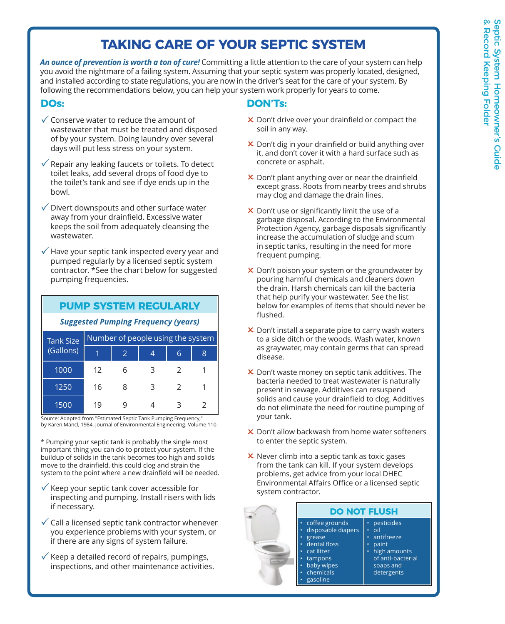# **TAKING CARE OF YOUR SEPTIC SYSTEM**

*An ounce of prevention is worth a ton of cure!* Committing a little attention to the care of your system can help you avoid the nightmare of a failing system. Assuming that your septic system was properly located, designed, and installed according to state regulations, you are now in the driver's seat for the care of your system. By following the recommendations below, you can help your system work properly for years to come.

### **DOs:**

- $\checkmark$  Conserve water to reduce the amount of wastewater that must be treated and disposed of by your system. Doing laundry over several days will put less stress on your system.
- $\sqrt{\ }$  Repair any leaking faucets or toilets. To detect toilet leaks, add several drops of food dye to the toilet's tank and see if dye ends up in the bowl.
- $\checkmark$  Divert downspouts and other surface water away from your drainfield. Excessive water keeps the soil from adequately cleansing the wastewater.
- $\sqrt{ }$  Have your septic tank inspected every year and pumped regularly by a licensed septic system contractor. \*See the chart below for suggested pumping frequencies.

#### **PUMP SYSTEM REGULARLY**

#### *Suggested Pumping Frequency (years)*

| <b>Tank Size</b><br>(Gallons) | Number of people using the system |   |   |               |                             |
|-------------------------------|-----------------------------------|---|---|---------------|-----------------------------|
|                               |                                   |   |   | 6             | 8                           |
| 1000                          | 12                                |   | З |               |                             |
| 1250                          | 16                                | 8 | 3 | $\mathcal{L}$ |                             |
| 1500                          | 19                                |   |   | 3             | $\mathcal{L}_{\mathcal{L}}$ |

Source: Adapted from "Estimated Septic Tank Pumping Frequency," by Karen Mancl, 1984. Journal of Environmental Engineering. Volume 110.

\* Pumping your septic tank is probably the single most important thing you can do to protect your system. If the buildup of solids in the tank becomes too high and solids move to the drainfield, this could clog and strain the system to the point where a new drainfield will be needed.

- $\checkmark$  Keep your septic tank cover accessible for inspecting and pumping. Install risers with lids if necessary.
- $\checkmark$  Call a licensed septic tank contractor whenever you experience problems with your system, or if there are any signs of system failure.
- $\checkmark$  Keep a detailed record of repairs, pumpings, inspections, and other maintenance activities.

### **DON'Ts:**

- $\times$  Don't drive over your drainfield or compact the soil in any way.
- 2 Don't dig in your drainfield or build anything over it, and don't cover it with a hard surface such as concrete or asphalt.
- **X** Don't plant anything over or near the drainfield except grass. Roots from nearby trees and shrubs may clog and damage the drain lines.
- $\times$  Don't use or significantly limit the use of a garbage disposal. According to the Environmental Protection Agency, garbage disposals significantly increase the accumulation of sludge and scum in septic tanks, resulting in the need for more frequent pumping.
- $\times$  Don't poison your system or the groundwater by pouring harmful chemicals and cleaners down the drain. Harsh chemicals can kill the bacteria that help purify your wastewater. See the list below for examples of items that should never be flushed.
- $\times$  Don't install a separate pipe to carry wash waters to a side ditch or the woods. Wash water, known as graywater, may contain germs that can spread disease.
- $\times$  Don't waste money on septic tank additives. The bacteria needed to treat wastewater is naturally present in sewage. Additives can resuspend solids and cause your drainfield to clog. Additives do not eliminate the need for routine pumping of your tank.
- $\times$  Don't allow backwash from home water softeners to enter the septic system.
- $\times$  Never climb into a septic tank as toxic gases from the tank can kill. If your system develops problems, get advice from your local DHEC Environmental Affairs Office or a licensed septic system contractor.